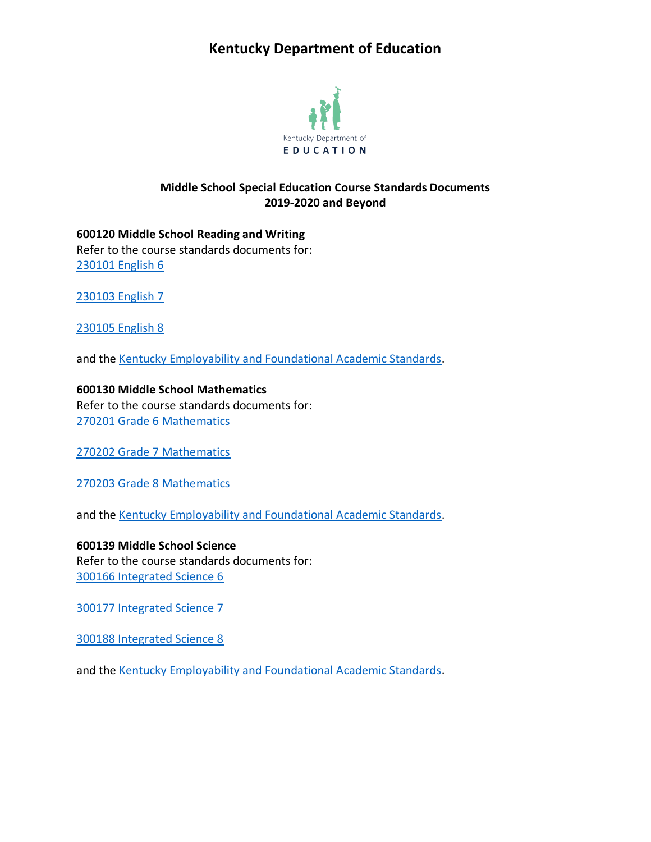# **Kentucky Department of Education**



### **Middle School Special Education Course Standards Documents 2019-2020 and Beyond**

**600120 Middle School Reading and Writing** Refer to the course standards documents for: [230101 English 6](https://education.ky.gov/curriculum/standards/kyacadstand/Documents/230101_English_6_2019.pdf)

[230103 English 7](https://education.ky.gov/curriculum/standards/kyacadstand/Documents/230103_English_7_2019.pdf)

[230105 English 8](https://education.ky.gov/curriculum/standards/kyacadstand/Documents/230105_English_8_2019.pdf)

and the [Kentucky Employability and Foundational Academic Standards.](https://education.ky.gov/curriculum/standards/kyacadstand/Documents/EFASAA_Standards.pdf)

**600130 Middle School Mathematics** Refer to the course standards documents for:

[270201 Grade 6 Mathematics](https://education.ky.gov/curriculum/standards/kyacadstand/Documents/270201_Grade_6_Mathematics_2019.pdf)

[270202 Grade 7 Mathematics](https://education.ky.gov/curriculum/standards/kyacadstand/Documents/270202_Grade_7_Mathematics_2019.pdf)

[270203 Grade 8 Mathematics](https://education.ky.gov/curriculum/standards/kyacadstand/Documents/270203_Grade_8_Mathematics_2019.pdf)

and the [Kentucky Employability and Foundational Academic Standards.](https://education.ky.gov/curriculum/standards/kyacadstand/Documents/EFASAA_Standards.pdf)

**600139 Middle School Science** Refer to the course standards documents for: [300166 Integrated Science 6](https://education.ky.gov/curriculum/standards/kyacadstand/Documents/300166_Integrated_Science_6.pdf)

[300177 Integrated Science 7](https://education.ky.gov/curriculum/standards/kyacadstand/Documents/300177_Integrated_Science_7.pdf)

[300188 Integrated Science 8](https://education.ky.gov/curriculum/standards/kyacadstand/Documents/300188_Integrated_Science_8.pdf)

and the [Kentucky Employability and Foundational Academic Standards.](https://education.ky.gov/curriculum/standards/kyacadstand/Documents/EFASAA_Standards.pdf)